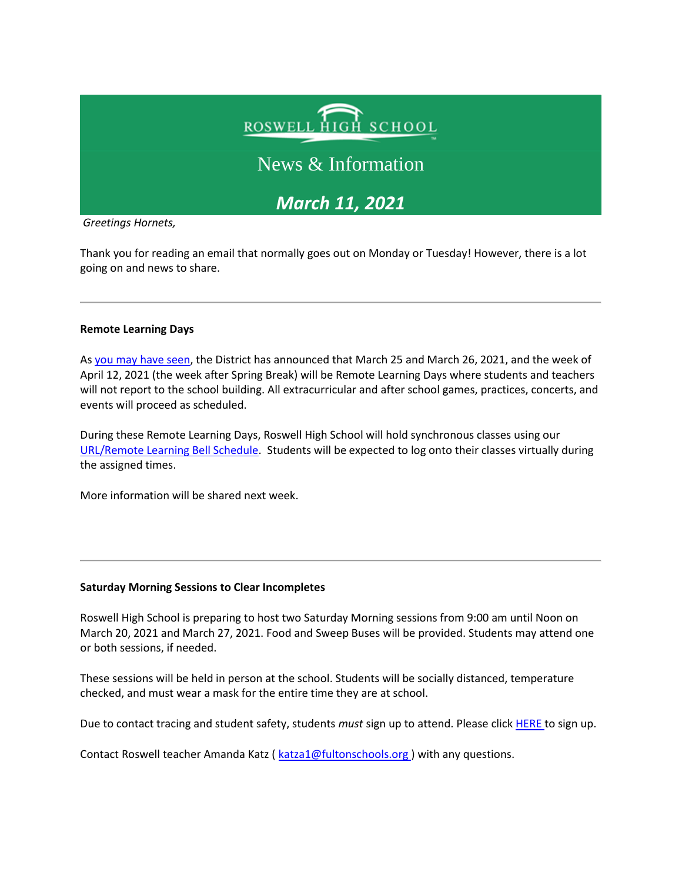# ROSWELL HIGH SCHOOL

## News & Information

*March 11, 2021* 

*Greetings Hornets,*

Thank you for reading an email that normally goes out on Monday or Tuesday! However, there is a lot going on and news to share.

#### **Remote Learning Days**

As [you may have seen,](https://www.fultonschools.org/site/default.aspx?PageType=3&DomainID=4&ModuleInstanceID=7115&ViewID=6446EE88-D30C-497E-9316-3F8874B3E108&RenderLoc=0&FlexDataID=105756&PageID=1) the District has announced that March 25 and March 26, 2021, and the week of April 12, 2021 (the week after Spring Break) will be Remote Learning Days where students and teachers will not report to the school building. All extracurricular and after school games, practices, concerts, and events will proceed as scheduled.

During these Remote Learning Days, Roswell High School will hold synchronous classes using our [URL/Remote Learning Bell Schedule.](https://nam11.safelinks.protection.outlook.com/?url=http%3A%2F%2Fnew.shawadmin.com%2FRoswell%2FPublic%2Fbellschedules.pdf&data=04%7C01%7Cmurphys%40fultonschools.org%7C4955f657fa7742835daf08d8e4ad226e%7C0cdcb19881694b70ba9fda7e3ba700c2%7C1%7C0%7C637510779652719580%7CUnknown%7CTWFpbGZsb3d8eyJWIjoiMC4wLjAwMDAiLCJQIjoiV2luMzIiLCJBTiI6Ik1haWwiLCJXVCI6Mn0%3D%7C1000&sdata=JdR%2B2ela7C8YeKJYE89XcIw0xDmL7wOjRMItcmRnJ5A%3D&reserved=0) Students will be expected to log onto their classes virtually during the assigned times.

More information will be shared next week.

#### **Saturday Morning Sessions to Clear Incompletes**

Roswell High School is preparing to host two Saturday Morning sessions from 9:00 am until Noon on March 20, 2021 and March 27, 2021. Food and Sweep Buses will be provided. Students may attend one or both sessions, if needed.

These sessions will be held in person at the school. Students will be socially distanced, temperature checked, and must wear a mask for the entire time they are at school.

Due to contact tracing and student safety, students *must* sign up to attend. Please click [HERE t](https://forms.office.com/Pages/ResponsePage.aspx?id=mLHcDGmBcEu6n9p-O6cAwify9XSUym1Hi9A9FhPxy3VURVRLN05SNkRMWjdUMTZLQTJUR0o2QkkyRy4u)o sign up.

Contact Roswell teacher Amanda Katz ( [katza1@fultonschools.org \)](mailto:katza1@fultonschools.org) with any questions.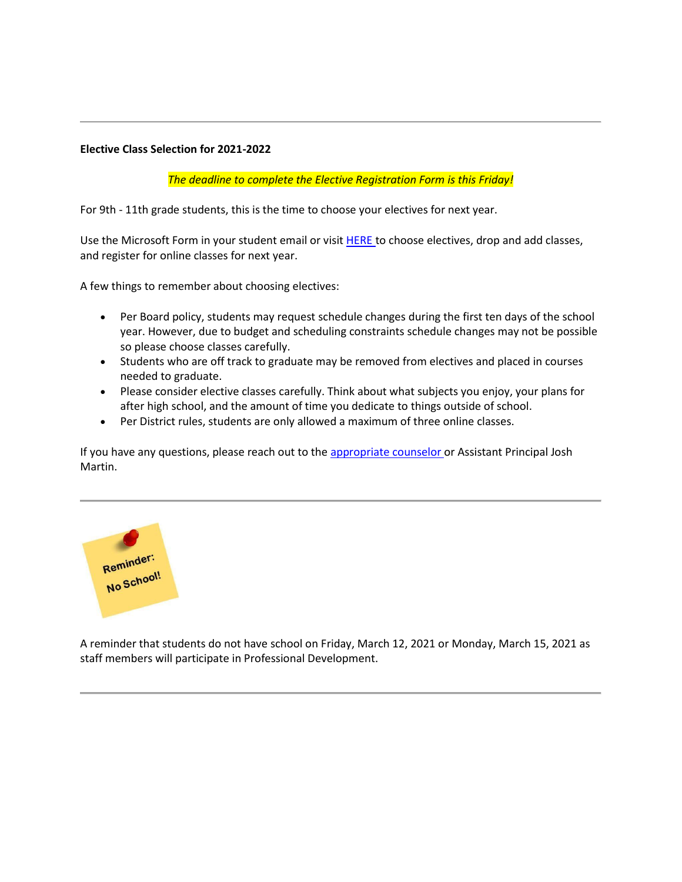#### **Elective Class Selection for 2021-2022**

*The deadline to complete the Elective Registration Form is this Friday!*

For 9th - 11th grade students, this is the time to choose your electives for next year.

Use the Microsoft Form in your student email or visit **HERE** to choose electives, drop and add classes, and register for online classes for next year.

A few things to remember about choosing electives:

- Per Board policy, students may request schedule changes during the first ten days of the school year. However, due to budget and scheduling constraints schedule changes may not be possible so please choose classes carefully.
- Students who are off track to graduate may be removed from electives and placed in courses needed to graduate.
- Please consider elective classes carefully. Think about what subjects you enjoy, your plans for after high school, and the amount of time you dedicate to things outside of school.
- Per District rules, students are only allowed a maximum of three online classes.

If you have any questions, please reach out to the [appropriate counselor o](https://www.fultonschools.org/Page/18494)r Assistant Principal Josh Martin.



A reminder that students do not have school on Friday, March 12, 2021 or Monday, March 15, 2021 as staff members will participate in Professional Development.